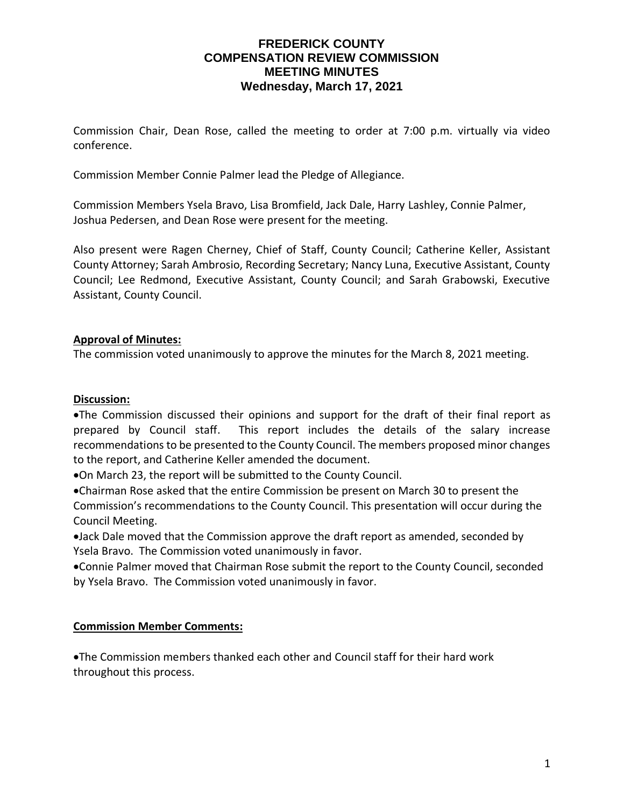## **FREDERICK COUNTY COMPENSATION REVIEW COMMISSION MEETING MINUTES Wednesday, March 17, 2021**

Commission Chair, Dean Rose, called the meeting to order at 7:00 p.m. virtually via video conference.

Commission Member Connie Palmer lead the Pledge of Allegiance.

Commission Members Ysela Bravo, Lisa Bromfield, Jack Dale, Harry Lashley, Connie Palmer, Joshua Pedersen, and Dean Rose were present for the meeting.

Also present were Ragen Cherney, Chief of Staff, County Council; Catherine Keller, Assistant County Attorney; Sarah Ambrosio, Recording Secretary; Nancy Luna, Executive Assistant, County Council; Lee Redmond, Executive Assistant, County Council; and Sarah Grabowski, Executive Assistant, County Council.

## **Approval of Minutes:**

The commission voted unanimously to approve the minutes for the March 8, 2021 meeting.

#### **Discussion:**

•The Commission discussed their opinions and support for the draft of their final report as prepared by Council staff. This report includes the details of the salary increase recommendations to be presented to the County Council. The members proposed minor changes to the report, and Catherine Keller amended the document.

•On March 23, the report will be submitted to the County Council.

•Chairman Rose asked that the entire Commission be present on March 30 to present the Commission's recommendations to the County Council. This presentation will occur during the Council Meeting.

•Jack Dale moved that the Commission approve the draft report as amended, seconded by Ysela Bravo. The Commission voted unanimously in favor.

•Connie Palmer moved that Chairman Rose submit the report to the County Council, seconded by Ysela Bravo. The Commission voted unanimously in favor.

#### **Commission Member Comments:**

•The Commission members thanked each other and Council staff for their hard work throughout this process.